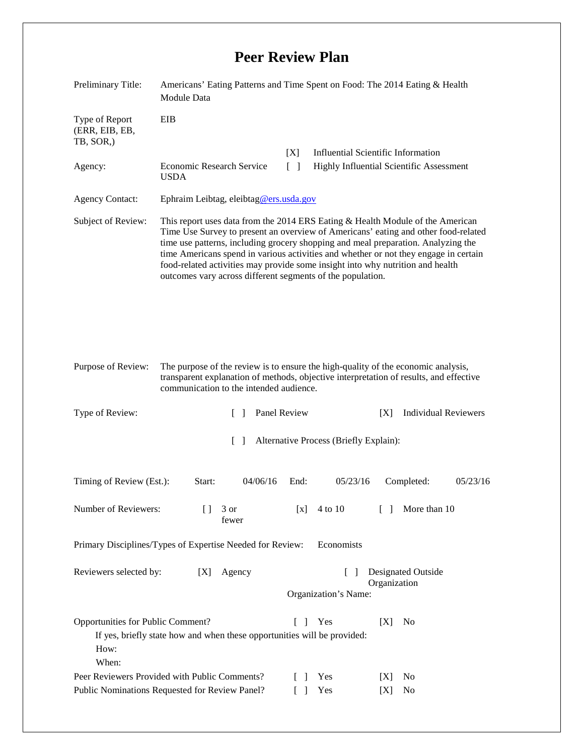## **Peer Review Plan**

| Preliminary Title:                                                                                                                                                                  | Americans' Eating Patterns and Time Spent on Food: The 2014 Eating & Health<br><b>Module Data</b>                                                                                                                                                                                                                                                                                                                                                                                                 |                                                                                                                 |
|-------------------------------------------------------------------------------------------------------------------------------------------------------------------------------------|---------------------------------------------------------------------------------------------------------------------------------------------------------------------------------------------------------------------------------------------------------------------------------------------------------------------------------------------------------------------------------------------------------------------------------------------------------------------------------------------------|-----------------------------------------------------------------------------------------------------------------|
| Type of Report<br>(ERR, EIB, EB,<br>TB, SOR,)                                                                                                                                       | EIB                                                                                                                                                                                                                                                                                                                                                                                                                                                                                               |                                                                                                                 |
| Agency:                                                                                                                                                                             | <b>Economic Research Service</b>                                                                                                                                                                                                                                                                                                                                                                                                                                                                  | <b>Influential Scientific Information</b><br>[X]<br>$\lceil \rceil$<br>Highly Influential Scientific Assessment |
|                                                                                                                                                                                     | <b>USDA</b>                                                                                                                                                                                                                                                                                                                                                                                                                                                                                       |                                                                                                                 |
| <b>Agency Contact:</b>                                                                                                                                                              | Ephraim Leibtag, eleibtag@ers.usda.gov                                                                                                                                                                                                                                                                                                                                                                                                                                                            |                                                                                                                 |
| Subject of Review:                                                                                                                                                                  | This report uses data from the 2014 ERS Eating & Health Module of the American<br>Time Use Survey to present an overview of Americans' eating and other food-related<br>time use patterns, including grocery shopping and meal preparation. Analyzing the<br>time Americans spend in various activities and whether or not they engage in certain<br>food-related activities may provide some insight into why nutrition and health<br>outcomes vary across different segments of the population. |                                                                                                                 |
| Purpose of Review:                                                                                                                                                                  | The purpose of the review is to ensure the high-quality of the economic analysis,<br>transparent explanation of methods, objective interpretation of results, and effective<br>communication to the intended audience.                                                                                                                                                                                                                                                                            |                                                                                                                 |
| Type of Review:                                                                                                                                                                     | $\Box$                                                                                                                                                                                                                                                                                                                                                                                                                                                                                            | Panel Review<br><b>Individual Reviewers</b><br>[X]                                                              |
| $\Box$<br>Alternative Process (Briefly Explain):                                                                                                                                    |                                                                                                                                                                                                                                                                                                                                                                                                                                                                                                   |                                                                                                                 |
| Timing of Review (Est.):                                                                                                                                                            | Start:<br>04/06/16                                                                                                                                                                                                                                                                                                                                                                                                                                                                                | End:<br>05/23/16<br>Completed:<br>05/23/16                                                                      |
| Number of Reviewers:                                                                                                                                                                | 3 or<br>Ħ<br>fewer                                                                                                                                                                                                                                                                                                                                                                                                                                                                                | More than 10<br>4 to 10<br>[x]<br>$\Box$                                                                        |
| Primary Disciplines/Types of Expertise Needed for Review:<br>Economists                                                                                                             |                                                                                                                                                                                                                                                                                                                                                                                                                                                                                                   |                                                                                                                 |
| Reviewers selected by:                                                                                                                                                              | Agency<br>[X]                                                                                                                                                                                                                                                                                                                                                                                                                                                                                     | Designated Outside<br>$\Box$<br>Organization<br>Organization's Name:                                            |
| Opportunities for Public Comment?<br>Yes<br>[X]<br>L<br>$\mathbf{1}$<br>N <sub>0</sub><br>If yes, briefly state how and when these opportunities will be provided:<br>How:<br>When: |                                                                                                                                                                                                                                                                                                                                                                                                                                                                                                   |                                                                                                                 |
| Peer Reviewers Provided with Public Comments?<br>Public Nominations Requested for Review Panel?                                                                                     |                                                                                                                                                                                                                                                                                                                                                                                                                                                                                                   | Yes<br>No<br>$\Box$<br> X <br>Yes<br>No<br>$\Box$<br>[X]                                                        |
|                                                                                                                                                                                     |                                                                                                                                                                                                                                                                                                                                                                                                                                                                                                   |                                                                                                                 |